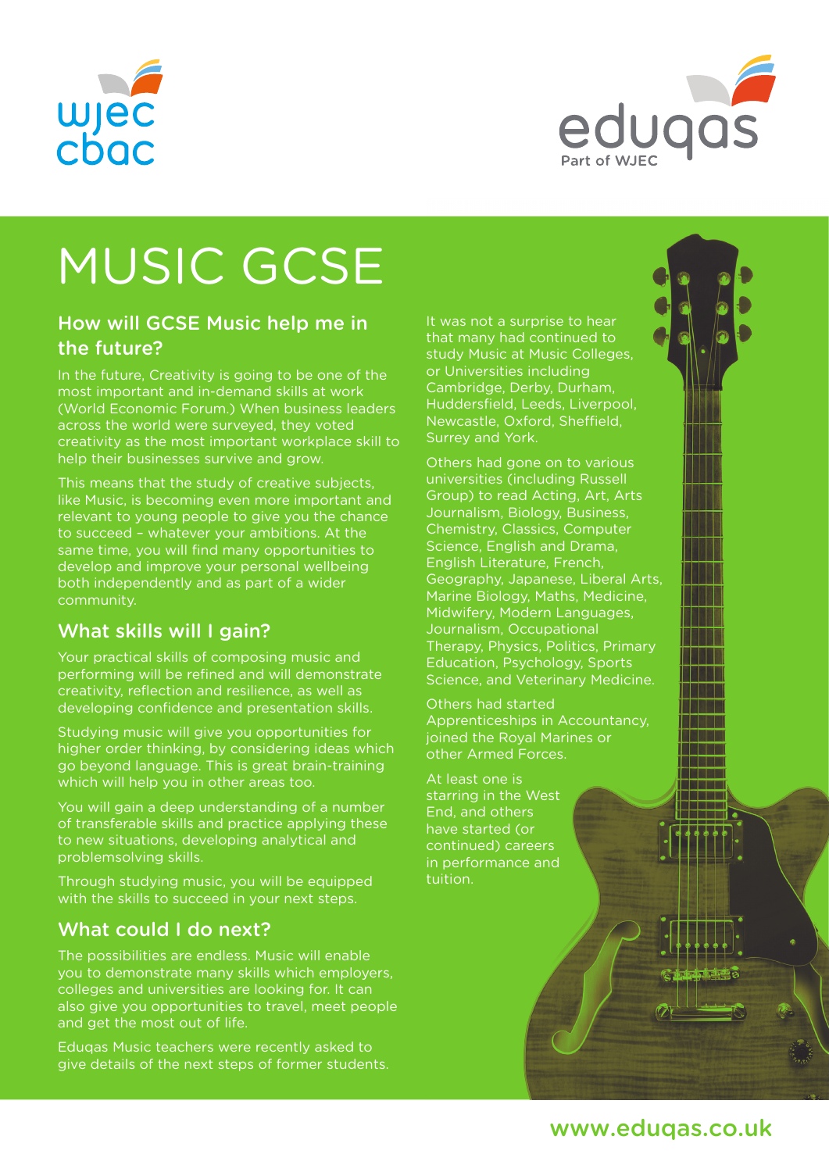



# MUSIC GCSE

#### How will GCSE Music help me in the future?

In the future, Creativity is going to be one of the most important and in-demand skills at work (World Economic Forum.) When business leaders across the world were surveyed, they voted creativity as the most important workplace skill to help their businesses survive and grow.

This means that the study of creative subjects, like Music, is becoming even more important and relevant to young people to give you the chance to succeed – whatever your ambitions. At the same time, you will find many opportunities to develop and improve your personal wellbeing both independently and as part of a wider community.

### What skills will I gain?

Your practical skills of composing music and performing will be refined and will demonstrate creativity, reflection and resilience, as well as developing confidence and presentation skills.

Studying music will give you opportunities for higher order thinking, by considering ideas which go beyond language. This is great brain-training which will help you in other areas too.

You will gain a deep understanding of a number of transferable skills and practice applying these to new situations, developing analytical and problemsolving skills.

Through studying music, you will be equipped with the skills to succeed in your next steps.

#### What could I do next?

The possibilities are endless. Music will enable you to demonstrate many skills which employers, colleges and universities are looking for. It can also give you opportunities to travel, meet people and get the most out of life.

Eduqas Music teachers were recently asked to give details of the next steps of former students.

It was not a surprise to hear that many had continued to study Music at Music Colleges, or Universities including Cambridge, Derby, Durham, Huddersfield, Leeds, Liverpool, Newcastle, Oxford, Sheffield, Surrey and York.

Others had gone on to various universities (including Russell Group) to read Acting, Art, Arts Journalism, Biology, Business, Chemistry, Classics, Computer Science, English and Drama, English Literature, French, Geography, Japanese, Liberal Arts, Marine Biology, Maths, Medicine, Midwifery, Modern Languages, Journalism, Occupational Therapy, Physics, Politics, Primary Education, Psychology, Sports Science, and Veterinary Medicine.

Others had started Apprenticeships in Accountancy, joined the Royal Marines or other Armed Forces.

At least one is starring in the West End, and others have started (or continued) careers in performance and tuition.

www.eduqas.co.uk